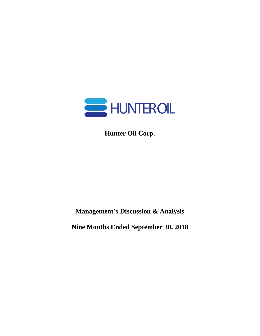

**Hunter Oil Corp.**

**Management's Discussion & Analysis**

**Nine Months Ended September 30, 2018**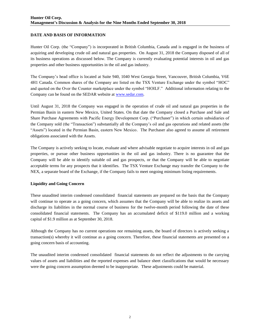## **DATE AND BASIS OF INFORMATION**

Hunter Oil Corp. (the "Company") is incorporated in British Columbia, Canada and is engaged in the business of acquiring and developing crude oil and natural gas properties. On August 31, 2018 the Company disposed of all of its business operations as discussed below. The Company is currently evaluating potential interests in oil and gas properties and other business opportunities in the oil and gas industry.

The Company's head office is located at Suite 940, 1040 West Georgia Street, Vancouver, British Columbia, V6E 4H1 Canada. Common shares of the Company are listed on the TSX Venture Exchange under the symbol "HOC" and quoted on the Over the Counter marketplace under the symbol "HOILF." Additional information relating to the Company can be found on the SEDAR website at [www.sedar.com.](http://www.sedar.com/)

Until August 31, 2018 the Company was engaged in the operation of crude oil and natural gas properties in the Permian Basin in eastern New Mexico, United States. On that date the Company closed a Purchase and Sale and Share Purchase Agreements with Pacific Energy Development Corp. ("Purchaser") in which certain subsidiaries of the Company sold (the "Transaction") substantially all the Company's oil and gas operations and related assets (the "Assets") located in the Permian Basin, eastern New Mexico. The Purchaser also agreed to assume all retirement obligations associated with the Assets.

The Company is actively seeking to locate, evaluate and where advisable negotiate to acquire interests in oil and gas properties, or pursue other business opportunities in the oil and gas industry. There is no guarantee that the Company will be able to identify suitable oil and gas prospects, or that the Company will be able to negotiate acceptable terms for any prospects that it identifies. The TSX Venture Exchange may transfer the Company to the NEX, a separate board of the Exchange, if the Company fails to meet ongoing minimum listing requirements.

## **Liquidity and Going Concern**

These unaudited interim condensed consolidated financial statements are prepared on the basis that the Company will continue to operate as a going concern, which assumes that the Company will be able to realize its assets and discharge its liabilities in the normal course of business for the twelve-month period following the date of these consolidated financial statements. The Company has an accumulated deficit of \$119.0 million and a working capital of \$1.9 million as at September 30, 2018.

Although the Company has no current operations nor remaining assets, the board of directors is actively seeking a transaction(s) whereby it will continue as a going concern. Therefore, these financial statements are presented on a going concern basis of accounting.

The unaudited interim condensed consolidated financial statements do not reflect the adjustments to the carrying values of assets and liabilities and the reported expenses and balance sheet classifications that would be necessary were the going concern assumption deemed to be inappropriate. These adjustments could be material.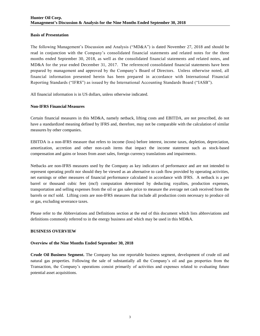## **Basis of Presentation**

The following Management's Discussion and Analysis ("MD&A") is dated November 27, 2018 and should be read in conjunction with the Company's consolidated financial statements and related notes for the three months ended September 30, 2018, as well as the consolidated financial statements and related notes, and MD&A for the year ended December 31, 2017. The referenced consolidated financial statements have been prepared by management and approved by the Company's Board of Directors. Unless otherwise noted, all financial information presented herein has been prepared in accordance with International Financial Reporting Standards ("IFRS") as issued by the International Accounting Standards Board ("IASB").

All financial information is in US dollars, unless otherwise indicated.

#### **Non-IFRS Financial Measures**

Certain financial measures in this MD&A, namely netback, lifting costs and EBITDA, are not prescribed, do not have a standardized meaning defined by IFRS and, therefore, may not be comparable with the calculation of similar measures by other companies.

EBITDA is a non-IFRS measure that refers to income (loss) before interest, income taxes, depletion, depreciation, amortization, accretion and other non-cash items that impact the income statement such as stock-based compensation and gains or losses from asset sales, foreign currency translations and impairments.

Netbacks are non-IFRS measures used by the Company as key indicators of performance and are not intended to represent operating profit nor should they be viewed as an alternative to cash flow provided by operating activities, net earnings or other measures of financial performance calculated in accordance with IFRS. A netback is a per barrel or thousand cubic feet (mcf) computation determined by deducting royalties, production expenses, transportation and selling expenses from the oil or gas sales price to measure the average net cash received from the barrels or mcf sold. Lifting costs are non-IFRS measures that include all production costs necessary to produce oil or gas, excluding severance taxes.

Please refer to the Abbreviations and Definitions section at the end of this document which lists abbreviations and definitions commonly referred to in the energy business and which may be used in this MD&A.

## **BUSINESS OVERVIEW**

#### **Overview of the Nine Months Ended September 30, 2018**

**Crude Oil Business Segment.** The Company has one reportable business segment, development of crude oil and natural gas properties. Following the sale of substantially all the Company's oil and gas properties from the Transaction, the Company's operations consist primarily of activities and expenses related to evaluating future potential asset acquisitions.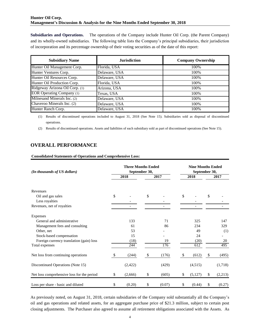## **Hunter Oil Corp. Management's Discussion & Analysis for the Nine Months Ended September 30, 2018**

**Subsidiaries and Operations.** The operations of the Company include Hunter Oil Corp. (the Parent Company) and its wholly-owned subsidiaries. The following table lists the Company's principal subsidiaries, their jurisdiction of incorporation and its percentage ownership of their voting securities as of the date of this report:

| <b>Subsidiary Name</b>           | <b>Jurisdiction</b> | <b>Company Ownership</b> |
|----------------------------------|---------------------|--------------------------|
| Hunter Oil Management Corp.      | Florida, USA        | 100%                     |
| Hunter Ventures Corp.            | Delaware, USA       | 100%                     |
| Hunter Oil Resources Corp.       | Delaware, USA       | 100%                     |
| Hunter Oil Production Corp.      | Florida, USA        | 100%                     |
| Ridgeway Arizona Oil Corp. (1)   | Arizona, USA        | 100%                     |
| <b>EOR Operating Company</b> (1) | Texas, USA          | 100%                     |
| Milnesand Minerals Inc. (2)      | Delaware, USA       | 100%                     |
| Chaveroo Minerals Inc. (2)       | Delaware, USA       | 100%                     |
| Hunter Ranch Corp.               | Delaware, USA       | 100%                     |

# **OVERALL PERFORMANCE**

#### **Consolidated Statements of Operations and Comprehensive Loss:**

|                                                                                                                                                                                                                                                   | <b>Jurisdiction</b> |                                            |                           |       | <b>Company Ownership</b> |                                           |      |                         |  |  |
|---------------------------------------------------------------------------------------------------------------------------------------------------------------------------------------------------------------------------------------------------|---------------------|--------------------------------------------|---------------------------|-------|--------------------------|-------------------------------------------|------|-------------------------|--|--|
| Hunter Oil Management Corp.                                                                                                                                                                                                                       | Florida, USA        |                                            |                           |       | 100%                     |                                           |      |                         |  |  |
| Hunter Ventures Corp.                                                                                                                                                                                                                             | Delaware, USA       |                                            |                           |       |                          | 100%                                      |      |                         |  |  |
| Hunter Oil Resources Corp.                                                                                                                                                                                                                        | Delaware, USA       |                                            |                           |       |                          | 100%                                      |      |                         |  |  |
| Hunter Oil Production Corp.                                                                                                                                                                                                                       | Florida, USA        |                                            |                           |       |                          | 100%                                      |      |                         |  |  |
| Ridgeway Arizona Oil Corp. (1)                                                                                                                                                                                                                    | Arizona, USA        |                                            |                           |       |                          | 100%                                      |      |                         |  |  |
| <b>EOR Operating Company (1)</b>                                                                                                                                                                                                                  | Texas, USA          |                                            |                           |       |                          | 100%                                      |      |                         |  |  |
| Milnesand Minerals Inc. (2)                                                                                                                                                                                                                       | Delaware, USA       |                                            |                           |       |                          | 100%                                      |      |                         |  |  |
| Chaveroo Minerals Inc. (2)                                                                                                                                                                                                                        | Delaware, USA       |                                            |                           |       |                          | 100%                                      |      |                         |  |  |
| Hunter Ranch Corp.                                                                                                                                                                                                                                |                     | Delaware, USA                              |                           |       |                          | 100%                                      |      |                         |  |  |
| Results of discontinued operations. Assets and liabilities of each subsidiary sold as part of discontinued operations (See Note 15).<br>(2)<br><b>OVERALL PERFORMANCE</b><br><b>Consolidated Statements of Operations and Comprehensive Loss:</b> |                     |                                            |                           |       |                          |                                           |      |                         |  |  |
| (In thousands of US dollars)                                                                                                                                                                                                                      |                     | <b>Three Months Ended</b><br>September 30, |                           |       |                          | <b>Nine Months Ended</b><br>September 30, |      |                         |  |  |
|                                                                                                                                                                                                                                                   |                     | 2018                                       | 2017                      |       | 2018                     |                                           | 2017 |                         |  |  |
|                                                                                                                                                                                                                                                   |                     |                                            |                           |       |                          |                                           |      |                         |  |  |
|                                                                                                                                                                                                                                                   |                     |                                            |                           |       |                          |                                           |      |                         |  |  |
|                                                                                                                                                                                                                                                   |                     |                                            |                           |       |                          |                                           |      |                         |  |  |
| Oil and gas sales                                                                                                                                                                                                                                 | \$                  |                                            | \$                        |       | \$                       |                                           | \$   |                         |  |  |
| Less royalties                                                                                                                                                                                                                                    |                     |                                            |                           |       |                          |                                           |      |                         |  |  |
|                                                                                                                                                                                                                                                   |                     |                                            |                           |       |                          |                                           |      |                         |  |  |
| Revenues<br>Revenues, net of royalties                                                                                                                                                                                                            |                     |                                            |                           |       |                          |                                           |      |                         |  |  |
| Expenses<br>General and administrative                                                                                                                                                                                                            |                     | 133                                        |                           | 71    |                          | 325                                       |      | 147                     |  |  |
| Management fees and consulting                                                                                                                                                                                                                    |                     | 61                                         |                           | 86    |                          | 234                                       |      |                         |  |  |
| Other, net                                                                                                                                                                                                                                        |                     | 53                                         |                           |       |                          | 49                                        |      |                         |  |  |
| Stock-based compensation                                                                                                                                                                                                                          |                     | 15                                         |                           |       |                          | 24                                        |      |                         |  |  |
| Foreign currency translation (gain) loss                                                                                                                                                                                                          |                     | (18)                                       |                           | 19    |                          | (20)                                      |      |                         |  |  |
| Total expenses                                                                                                                                                                                                                                    |                     | 244                                        |                           | 176   |                          | 612                                       |      | 329<br>(1)<br>20<br>495 |  |  |
| Net loss from continuing operations                                                                                                                                                                                                               | \$                  | (244)                                      | $\boldsymbol{\mathsf{S}}$ | (176) | \$                       | (612)                                     | \$   | (495)                   |  |  |
| Discontinued Operations (Note 15)                                                                                                                                                                                                                 |                     | (2, 422)                                   |                           | (429) |                          | (4,515)                                   |      | (1,718)                 |  |  |
| Net loss comprehensive loss for the period                                                                                                                                                                                                        | \$                  | (2,666)                                    | \$                        | (605) | \$                       | (5,127)                                   | \$   | (2,213)                 |  |  |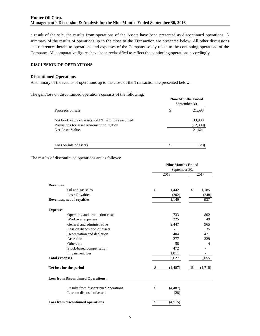a result of the sale, the results from operations of the Assets have been presented as discontinued operations. A summary of the results of operations up to the close of the Transaction are presented below. All other discussions and references herein to operations and expenses of the Company solely relate to the continuing operations of the Company. All comparative figures have been reclassified to reflect the continuing operations accordingly.

#### **DISCUSSION OF OPERATIONS**

#### **Discontinued Operations**

A summary of the results of operations up to the close of the Transaction are presented below.

The gain/loss on discontinued operations consists of the following:

|                                                     | <b>Nine Months Ended</b><br>September 30, |
|-----------------------------------------------------|-------------------------------------------|
| Proceeds on sale                                    | \$<br>21,593                              |
| Net book value of assets sold & liabilities assumed | 33,930                                    |
| Provisions for asset retirement obligation          | (12,309)                                  |
| Net Asset Value                                     | 21,621                                    |
| Loss on sale of assets                              | 28)                                       |

The results of discontinued operations are as follows:

|                                           | <b>Nine Months Ended</b> |          |    |         |
|-------------------------------------------|--------------------------|----------|----|---------|
|                                           | September 30,            |          |    |         |
|                                           |                          | 2018     |    | 2017    |
| <b>Revenues</b>                           |                          |          |    |         |
| Oil and gas sales                         | $\mathcal{S}$            | 1,442    | \$ | 1,185   |
| Less: Royalties                           |                          | (302)    |    | (248)   |
| Revenues, net of royalties                |                          | 1,140    |    | 937     |
| <b>Expenses</b>                           |                          |          |    |         |
| Operating and production costs            |                          | 733      |    | 802     |
| Workover expenses                         |                          | 225      |    | 49      |
| General and administrative                |                          | 2,447    |    | 965     |
| Loss on disposition of assets             |                          |          |    | 35      |
| Depreciation and depletion                |                          | 404      |    | 471     |
| Accretion                                 |                          | 277      |    | 329     |
| Other, net                                |                          | 58       |    | 4       |
| Stock-based compensation                  |                          | 472      |    |         |
| Impairment loss                           |                          | 1,011    |    |         |
| <b>Total expenses</b>                     |                          | 5,627    |    | 2,655   |
| Net loss for the period                   | \$                       | (4, 487) | \$ | (1,718) |
| <b>Loss from Discontinued Operations:</b> |                          |          |    |         |
| Results from discontinued operations      | \$                       | (4, 487) |    |         |
| Loss on disposal of assets                |                          | (28)     |    |         |
| Loss from discontinued operations         | $\overline{\mathcal{S}}$ | (4,515)  |    |         |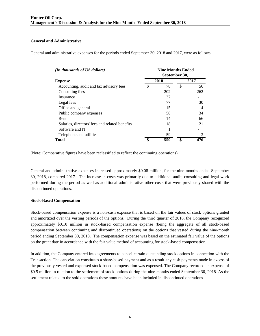## **General and Administrative**

General and administrative expenses for the periods ended September 30, 2018 and 2017, were as follows:

| (In thousands of US dollars)                   | <b>Nine Months Ended</b><br>September 30, |      |               |               |  |  |  |
|------------------------------------------------|-------------------------------------------|------|---------------|---------------|--|--|--|
| <b>Expense</b>                                 |                                           | 2018 |               | 2017          |  |  |  |
| Accounting, audit and tax advisory fees        | \$                                        | 78   | <sup>\$</sup> | 56            |  |  |  |
| Consulting fees                                |                                           | 202  |               | 262           |  |  |  |
| Insurance                                      |                                           | 37   |               |               |  |  |  |
| Legal fees                                     |                                           | 77   |               | 30            |  |  |  |
| Office and general                             |                                           | 15   |               | 4             |  |  |  |
| Public company expenses                        |                                           | 58   |               | 34            |  |  |  |
| Rent                                           |                                           | 14   |               | 66            |  |  |  |
| Salaries, directors' fees and related benefits |                                           | 18   |               | 21            |  |  |  |
| Software and IT                                |                                           |      |               |               |  |  |  |
| Telephone and utilities                        |                                           | 59   |               | $\mathcal{R}$ |  |  |  |
| Total                                          |                                           | 559  |               | 476           |  |  |  |

(Note: Comparative figures have been reclassified to reflect the continuing operations)

General and administrative expenses increased approximately \$0.08 million, for the nine months ended September 30, 2018, compared 2017. The increase in costs was primarily due to additional audit, consulting and legal work performed during the period as well as additional administrative other costs that were previously shared with the discontinued operations.

## **Stock-Based Compensation**

Stock-based compensation expense is a non-cash expense that is based on the fair values of stock options granted and amortized over the vesting periods of the options. During the third quarter of 2018, the Company recognized approximately \$0.10 million in stock-based compensation expense (being the aggregate of all stock-based compensation between continuing and discontinued operations) on the options that vested during the nine-month period ending September 30, 2018. The compensation expense was based on the estimated fair value of the options on the grant date in accordance with the fair value method of accounting for stock-based compensation.

In addition, the Company entered into agreements to cancel certain outstanding stock options in connection with the Transaction. The cancelation constitutes a share-based payment and as a result any cash payments made in excess of the previously vested and expensed stock-based compensation was expensed. The Company recorded an expense of \$0.5 million in relation to the settlement of stock options during the nine months ended September 30, 2018. As the settlement related to the sold operations these amounts have been included in discontinued operations.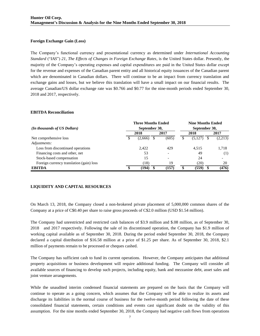## **Foreign Exchange Gain (Loss)**

The Company's functional currency and presentational currency as determined under *International Accounting Standard* ("*IAS*") *21*, *The Effects of Changes in Foreign Exchange Rates*, is the United States dollar. Presently, the majority of the Company's operating expenses and capital expenditures are paid in the United States dollar except for the revenue and expenses of the Canadian parent entity and all historical equity issuances of the Canadian parent which are denominated in Canadian dollars. There will continue to be an impact from currency translation and exchange gains and losses, but we believe this translation will have a small impact on our financial results. The average Canadian/US dollar exchange rate was \$0.766 and \$0.77 for the nine-month periods ended September 30, 2018 and 2017, respectively.

#### **EBITDA Reconciliation**

|                                                                                                                                                                                                                                                                                                                                                                                                                                                                                                                                                                                       | <b>Three Months Ended</b>        |                         |                 | <b>Nine Months Ended</b> |                 |                      |            |                      |  |  |  |
|---------------------------------------------------------------------------------------------------------------------------------------------------------------------------------------------------------------------------------------------------------------------------------------------------------------------------------------------------------------------------------------------------------------------------------------------------------------------------------------------------------------------------------------------------------------------------------------|----------------------------------|-------------------------|-----------------|--------------------------|-----------------|----------------------|------------|----------------------|--|--|--|
| (In thousands of US Dollars)                                                                                                                                                                                                                                                                                                                                                                                                                                                                                                                                                          | September 30,                    |                         |                 |                          | September 30,   |                      |            |                      |  |  |  |
|                                                                                                                                                                                                                                                                                                                                                                                                                                                                                                                                                                                       |                                  | 2018                    |                 | 2017                     |                 | 2018                 |            | 2017                 |  |  |  |
| Net comprehensive loss                                                                                                                                                                                                                                                                                                                                                                                                                                                                                                                                                                | \$                               | $\overline{(2,666)}$ \$ |                 | (605)                    | $\overline{\$}$ | $\overline{(5,127)}$ | $\sqrt{5}$ | $\overline{(2,213)}$ |  |  |  |
| Adjustments:                                                                                                                                                                                                                                                                                                                                                                                                                                                                                                                                                                          |                                  |                         |                 |                          |                 |                      |            |                      |  |  |  |
| Loss from discontinued operations                                                                                                                                                                                                                                                                                                                                                                                                                                                                                                                                                     |                                  | 2,422                   |                 | 429                      |                 | 4,515                |            | 1,718                |  |  |  |
| Financing costs and other, net                                                                                                                                                                                                                                                                                                                                                                                                                                                                                                                                                        |                                  | 53                      |                 |                          |                 | 49                   |            | (1)                  |  |  |  |
| Stock-based compensation                                                                                                                                                                                                                                                                                                                                                                                                                                                                                                                                                              |                                  | 15                      |                 |                          |                 | 24                   |            |                      |  |  |  |
| Foreign currency translation (gain) loss                                                                                                                                                                                                                                                                                                                                                                                                                                                                                                                                              |                                  | (18)                    |                 | 19                       |                 | (20)                 |            | 20                   |  |  |  |
| <b>EBITDA</b>                                                                                                                                                                                                                                                                                                                                                                                                                                                                                                                                                                         | $\overline{\boldsymbol{\theta}}$ | (194)                   | $\overline{\$}$ | (157)                    | \$              | (559)                | \$         | (476)                |  |  |  |
| On March 13, 2018, the Company closed a non-brokered private placement of 5,000,000 common shares of the<br>Company at a price of C\$0.40 per share to raise gross proceeds of C\$2.0 million (USD \$1.54 million).                                                                                                                                                                                                                                                                                                                                                                   |                                  |                         |                 |                          |                 |                      |            |                      |  |  |  |
| The Company had unrestricted and restricted cash balances of \$3.9 million and \$.08 million, as of September 30,<br>and 2017 respectively. Following the sale of its discontinued operation, the Company has \$1.9 million of<br>2018<br>working capital available as of September 30, 2018. During the period ended September 30, 2018, the Company<br>declared a capital distribution of \$16.58 million at a price of \$1.25 per share. As of September 30, 2018, \$2.1<br>million of payments remain to be processed or cheques cashed.                                          |                                  |                         |                 |                          |                 |                      |            |                      |  |  |  |
| The Company has sufficient cash to fund its current operations. However, the Company anticipates that additional<br>property acquisitions or business development will require additional funding. The Company will consider all<br>available sources of financing to develop such projects, including equity, bank and mezzanine debt, asset sales and<br>joint venture arrangements.                                                                                                                                                                                                |                                  |                         |                 |                          |                 |                      |            |                      |  |  |  |
| While the unaudited interim condensed financial statements are prepared on the basis that the Company will<br>continue to operate as a going concern, which assumes that the Company will be able to realize its assets and<br>discharge its liabilities in the normal course of business for the twelve-month period following the date of these<br>consolidated financial statements, certain conditions and events cast significant doubt on the validity of this<br>assumption. For the nine months ended September 30, 2018, the Company had negative cash flows from operations |                                  |                         |                 |                          |                 |                      |            |                      |  |  |  |

## **LIQUIDITY AND CAPITAL RESOURCES**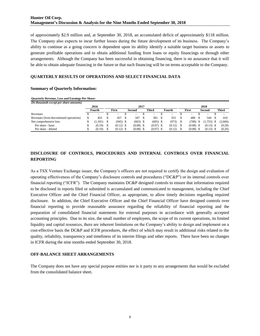of approximately \$2.9 million and, at September 30, 2018, an accumulated deficit of approximately \$118 million. The Company also expects to incur further losses during the future development of its business. The Company's ability to continue as a going concern is dependent upon its ability identify a suitable target business or assets to generate profitable operations and to obtain additional funding from loans or equity financings or through other arrangements. Although the Company has been successful in obtaining financing, there is no assurance that it will be able to obtain adequate financing in the future or that such financing will be on terms acceptable to the Company.

## **QUARTERLY RESULTS OF OPERATIONS AND SELECT FINANCIAL DATA**

#### **Summary of Quarterly Information:**

| <b>Quarterly Revenue, Loss and Earnings Per Share:</b> |  |  |  |
|--------------------------------------------------------|--|--|--|
|--------------------------------------------------------|--|--|--|

| (In thousands except per share amounts) |        |                          |              |                          |                        |                          |                          |  |        |                          |              |         |
|-----------------------------------------|--------|--------------------------|--------------|--------------------------|------------------------|--------------------------|--------------------------|--|--------|--------------------------|--------------|---------|
|                                         |        | 2016                     |              |                          |                        | 2017                     |                          |  |        |                          | 2018         |         |
|                                         | Fourth |                          | <b>First</b> |                          | <b>Third</b><br>Second |                          | Fourth                   |  | First  | Second                   | <b>Third</b> |         |
| Revenues                                |        | $\overline{\phantom{a}}$ |              | $\overline{\phantom{0}}$ |                        | $\overline{\phantom{a}}$ | $\overline{\phantom{0}}$ |  | -      | $\overline{\phantom{a}}$ | -            | -       |
| Revenues (from discontinued operations) |        | 455                      |              | 457                      |                        | 347                      | 381                      |  | 353    | 488                      | 544          | 410     |
| Net comprehensive loss                  |        | ,101)                    |              | $(945)$ \$               |                        | $(663)$ \$               | $(605)$ \$               |  | (973)  | (708)                    | 1,753)       | (2,666) |
| Per share - basic                       |        | (0.19)                   |              | $(0.12)$ \$              |                        | $(0.08)$ \$              | $(0.07)$ \$              |  | (0.12) | (0.08)                   | (0.13)       | (0.20)  |
| Per share - diluted                     |        | (0.19)                   |              | $(0.12)$ \$              |                        | $(0.08)$ \$              | $(0.07)$ \$              |  | (0.12) | (0.08)                   | (0.13)       | (0.20)  |

## **DISCLOSURE OF CONTROLS, PROCEDURES AND INTERNAL CONTROLS OVER FINANCIAL REPORTING**

As a TSX Venture Exchange issuer, the Company's officers are not required to certify the design and evaluation of operating effectiveness of the Company's disclosure controls and procedures ("DC&P") or its internal controls over financial reporting ("ICFR"). The Company maintains DC&P designed controls to ensure that information required to be disclosed in reports filed or submitted is accumulated and communicated to management, including the Chief Executive Officer and the Chief Financial Officer, as appropriate, to allow timely decisions regarding required disclosure. In addition, the Chief Executive Officer and the Chief Financial Officer have designed controls over financial reporting to provide reasonable assurance regarding the reliability of financial reporting and the preparation of consolidated financial statements for external purposes in accordance with generally accepted accounting principles. Due to its size, the small number of employees, the scope of its current operations, its limited liquidity and capital resources, there are inherent limitations on the Company's ability to design and implement on a cost-effective basis the DC&P and ICFR procedures, the effect of which may result in additional risks related to the quality, reliability, transparency and timeliness of its interim filings and other reports. There have been no changes in ICFR during the nine months ended September 30, 2018.

## **OFF-BALANCE SHEET ARRANGEMENTS**

The Company does not have any special purpose entities nor is it party to any arrangements that would be excluded from the consolidated balance sheet.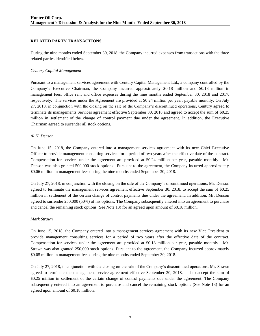## **RELATED PARTY TRANSACTIONS**

During the nine months ended September 30, 2018, the Company incurred expenses from transactions with the three related parties identified below.

#### *Century Capital Management*

Pursuant to a management services agreement with Century Capital Management Ltd., a company controlled by the Company's Executive Chairman, the Company incurred approximately \$0.18 million and \$0.18 million in management fees, office rent and office expenses during the nine months ended September 30, 2018 and 2017, respectively. The services under the Agreement are provided at \$0.24 million per year, payable monthly. On July 27, 2018, in conjunction with the closing on the sale of the Company's discontinued operations, Century agreed to terminate its managements Services agreement effective September 30, 2018 and agreed to accept the sum of \$0.25 million in settlement of the change of control payment due under the agreement. In addition, the Executive Chairman agreed to surrender all stock options.

#### *Al H. Denson*

On June 15, 2018, the Company entered into a management services agreement with its new Chief Executive Officer to provide management consulting services for a period of two years after the effective date of the contract. Compensation for services under the agreement are provided at \$0.24 million per year, payable monthly. Mr. Denson was also granted 500,000 stock options. Pursuant to the agreement, the Company incurred approximately \$0.06 million in management fees during the nine months ended September 30, 2018.

On July 27, 2018, in conjunction with the closing on the sale of the Company's discontinued operations, Mr. Denson agreed to terminate the management services agreement effective September 30, 2018, to accept the sum of \$0.25 million in settlement of the certain change of control payments due under the agreement. In addition, Mr. Denson agreed to surrender 250,000 (50%) of his options. The Company subsequently entered into an agreement to purchase and cancel the remaining stock options (See Note 13) for an agreed upon amount of \$0.18 million.

#### *Mark Strawn*

On June 15, 2018, the Company entered into a management services agreement with its new Vice President to provide management consulting services for a period of two years after the effective date of the contract. Compensation for services under the agreement are provided at \$0.18 million per year, payable monthly. Mr. Strawn was also granted 250,000 stock options. Pursuant to the agreement, the Company incurred approximately \$0.05 million in management fees during the nine months ended September 30, 2018.

On July 27, 2018, in conjunction with the closing on the sale of the Company's discontinued operations, Mr. Strawn agreed to terminate the management service agreement effective September 30, 2018, and to accept the sum of \$0.25 million in settlement of the certain change of control payments due under the agreement. The Company subsequently entered into an agreement to purchase and cancel the remaining stock options (See Note 13) for an agreed upon amount of \$0.18 million.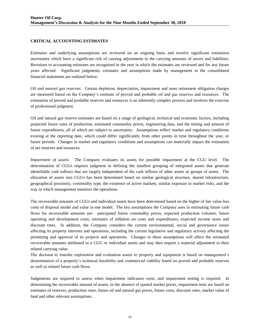## **CRITICAL ACCOUNTING ESTIMATES**

Estimates and underlying assumptions are reviewed on an ongoing basis and involve significant estimation uncertainty which have a significant risk of causing adjustments to the carrying amounts of assets and liabilities. Revisions to accounting estimates are recognized in the year in which the estimates are reviewed and for any future years affected. Significant judgments, estimates and assumptions made by management in the consolidated financial statements are outlined below:

*Oil and natural gas reserves:* Certain depletion, depreciation, impairment and asset retirement obligation charges are measured based on the Company's estimate of proved and probable oil and gas reserves and resources. The estimation of proved and probable reserves and resources is an inherently complex process and involves the exercise of professional judgment.

Oil and natural gas reserve estimates are based on a range of geological, technical and economic factors, including projected future rates of production, estimated commodity prices, engineering data, and the timing and amount of future expenditures, all of which are subject to uncertainty. Assumptions reflect market and regulatory conditions existing at the reporting date, which could differ significantly from other points in time throughout the year, or future periods. Changes in market and regulatory conditions and assumptions can materially impact the estimation of net reserves and resources.

*Impairment of assets:* The Company evaluates its assets for possible impairment at the CGU level. The determination of CGUs requires judgment in defining the smallest grouping of integrated assets that generate identifiable cash inflows that are largely independent of the cash inflows of other assets or groups of assets. The allocation of assets into CGUs has been determined based on similar geological structure, shared infrastructure, geographical proximity, commodity type, the existence of active markets, similar exposure to market risks, and the way in which management monitors the operations.

The recoverable amounts of CGUs and individual assets have been determined based on the higher of fair value less costs of disposal model and value in-use model. The key assumptions the Company uses in estimating future cash flows for recoverable amounts are: anticipated future commodity prices, expected production volumes, future operating and development costs, estimates of inflation on costs and expenditures, expected income taxes and discount rates. In addition, the Company considers the current environmental, social and governance issues affecting its property interests and operations, including the current legislative and regulatory activity affecting the permitting and approval of its projects and operations. Changes to these assumptions will affect the estimated recoverable amounts attributed to a CGU or individual assets and may then require a material adjustment to their related carrying value.

The decision to transfer exploration and evaluation assets to property and equipment is based on management's determination of a property's technical feasibility and commercial viability based on proved and probable reserves as well as related future cash flows.

Judgements are required to assess when impairment indicators exist, and impairment testing is required. In determining the recoverable amount of assets, in the absence of quoted market prices, impairment tests are based on estimates of reserves, production rates, future oil and natural gas prices, future costs, discount rates, market value of land and other relevant assumptions.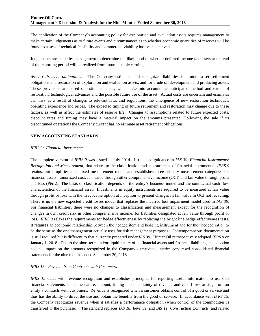The application of the Company's accounting policy for exploration and evaluation assets requires management to make certain judgements as to future events and circumstances as to whether economic quantities of reserves will be found to assess if technical feasibility and commercial viability has been achieved.

Judgements are made by management to determine the likelihood of whether deferred income tax assets at the end of the reporting period will be realized from future taxable earnings.

*Asset retirement obligations:* The Company estimates and recognizes liabilities for future asset retirement obligations and restoration of exploration and evaluation assets, and for crude oil development and producing assets. These provisions are based on estimated costs, which take into account the anticipated method and extent of restoration, technological advances and the possible future use of the asset. Actual costs are uncertain and estimates can vary as a result of changes to relevant laws and regulations, the emergence of new restoration techniques, operating experience and prices. The expected timing of future retirement and restoration may change due to these factors, as well as affect the estimates of reserve life. Changes to assumptions related to future expected costs, discount rates and timing may have a material impact on the amounts presented. Following the sale if its discontinued operations the Company current has no estimate asset retirement obligations.

## **NEW ACCOUNTING STANDARDS**

#### *IFRS 9: Financial Instruments*

The complete version of *IFRS 9* was issued in July 2014. It replaced guidance in *IAS 39, Financial Instruments: Recognition and Measurement,* that relates to the classification and measurement of financial instruments. *IFRS 9* retains, but simplifies, the mixed measurement model and establishes three primary measurement categories for financial assets: amortized cost, fair value through other comprehensive income (OCI) and fair value through profit and loss (P&L). The basis of classification depends on the entity's business model and the contractual cash flow characteristics of the financial asset. Investments in equity instruments are required to be measured at fair value through profit or loss with the irrevocable option at inception to present changes in fair value in OCI not recycling. There is now a new expected credit losses model that replaces the incurred loss impairment model used in *IAS 39*. For financial liabilities, there were no changes to classification and measurement except for the recognition of changes in own credit risk in other comprehensive income, for liabilities designated at fair value through profit or loss. *IFRS 9* relaxes the requirements for hedge effectiveness by replacing the bright line hedge effectiveness tests. It requires an economic relationship between the hedged item and hedging instrument and for the "hedged ratio" to be the same as the one management actually uses for risk management purposes. Contemporaneous documentation is still required but is different to that currently prepared under *IAS 39.* Hunter Oil retrospectively adopted *IFRS 9* on January 1, 2018. Due to the short-term and/or liquid nature of its financial assets and financial liabilities, the adoption had no impact on the amounts recognized in the Company's unaudited interim condensed consolidated financial statements for the nine months ended September 30, 2018.

## *IFRS 15: Revenue from Contracts with Customers*

*IFRS 15* deals with revenue recognition and establishes principles for reporting useful information to users of financial statements about the nature, amount, timing and uncertainty of revenue and cash flows arising from an entity's contracts with customers. Revenue is recognized when a customer obtains control of a good or service and thus has the ability to direct the use and obtain the benefits from the good or service. In accordance with *IFRS 15*, the Company recognizes revenue when it satisfies a performance obligation (when control of the commodities is transferred to the purchaser). The standard replaces *IAS 18, Revenue,* and *IAS 11, Construction Contracts,* and related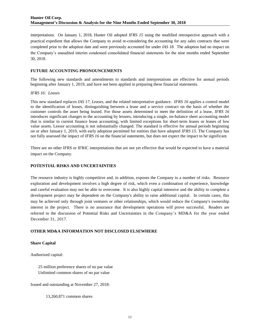interpretations. On January 1, 2018, Hunter Oil adopted *IFRS 15* using the modified retrospective approach with a practical expedient that allows the Company to avoid re-considering the accounting for any sales contracts that were completed prior to the adoption date and were previously accounted for under *IAS 18*. The adoption had no impact on the Company's unaudited interim condensed consolidated financial statements for the nine months ended September 30, 2018.

#### **FUTURE ACCOUNTING PRONOUNCEMENTS**

The following new standards and amendments to standards and interpretations are effective for annual periods beginning after January 1, 2019, and have not been applied in preparing these financial statements.

#### *IFRS 16: Leases*

This new standard replaces *IAS 17, Leases,* and the related interpretative guidance. *IFRS 16* applies a control model to the identification of leases, distinguishing between a lease and a service contract on the basis of whether the customer controls the asset being leased. For those assets determined to meet the definition of a lease, *IFRS 16* introduces significant changes to the accounting by lessees, introducing a single, on-balance sheet accounting model that is similar to current finance lease accounting, with limited exceptions for short-term leases or leases of low value assets. Lessor accounting is not substantially changed. The standard is effective for annual periods beginning on or after January 1, 2019, with early adoption permitted for entities that have adopted *IFRS 15*. The Company has not fully assessed the impact of *IFRS 16* on the financial statements, but does not expect the impact to be significant.

There are no other IFRS or IFRIC interpretations that are not yet effective that would be expected to have a material impact on the Company.

## **POTENTIAL RISKS AND UNCERTAINTIES**

The resource industry is highly competitive and, in addition, exposes the Company to a number of risks. Resource exploration and development involves a high degree of risk, which even a combination of experience, knowledge and careful evaluation may not be able to overcome. It is also highly capital intensive and the ability to complete a development project may be dependent on the Company's ability to raise additional capital. In certain cases, this may be achieved only through joint ventures or other relationships, which would reduce the Company's ownership interest in the project. There is no assurance that development operations will prove successful. Readers are referred to the discussion of Potential Risks and Uncertainties in the Company's MD&A for the year ended December 31, 2017.

## **OTHER MD&A INFORMATION NOT DISCLOSED ELSEWHERE**

## **Share Capital**

Authorized capital:

25 million preference shares of no par value Unlimited common shares of no par value

Issued and outstanding at November 27, 2018:

13,260,871 common shares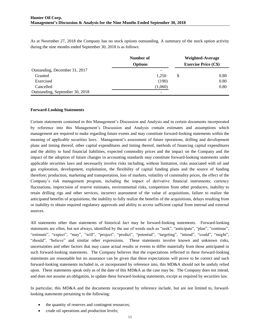As at November 27, 2018 the Company has no stock options outstanding. A summary of the stock option activity during the nine months ended September 30, 2018 is as follows:

|                                 | Number of      | <b>Weighted-Average</b>     |
|---------------------------------|----------------|-----------------------------|
|                                 | <b>Options</b> | <b>Exercise Price (C\$)</b> |
| Oustanding, December 31, 2017   | -              |                             |
| Granted                         | 1.250          | \$<br>0.80                  |
| Exercised                       | (190)          | 0.80                        |
| Cancelled                       | (1,060)        | 0.80                        |
| Outstanding, September 30, 2018 | -              |                             |

#### **Forward-Looking Statements**

Certain statements contained in this Management's Discussion and Analysis and in certain documents incorporated by reference into this Management's Discussion and Analysis contain estimates and assumptions which management are required to make regarding future events and may constitute forward-looking statements within the meaning of applicable securities laws. Management's assessment of future operations, drilling and development plans and timing thereof, other capital expenditures and timing thereof, methods of financing capital expenditures and the ability to fund financial liabilities, expected commodity prices and the impact on the Company and the impact of the adoption of future changes in accounting standards may constitute forward-looking statements under applicable securities laws and necessarily involve risks including, without limitation, risks associated with oil and gas exploration, development, exploitation, the flexibility of capital funding plans and the source of funding therefore; production, marketing and transportation, loss of markets, volatility of commodity prices, the effect of the Company's risk management program, including the impact of derivative financial instruments; currency fluctuations, imprecision of reserve estimates, environmental risks, competition from other producers, inability to retain drilling rigs and other services, incorrect assessment of the value of acquisitions, failure to realize the anticipated benefits of acquisitions, the inability to fully realize the benefits of the acquisitions, delays resulting from or inability to obtain required regulatory approvals and ability to access sufficient capital from internal and external sources.

All statements other than statements of historical fact may be forward-looking statements. Forward-looking statements are often, but not always, identified by the use of words such as "seek", "anticipate", "plan", "continue", "estimate", "expect", "may", "will", "project", "predict", "potential", "targeting", "intend", "could", "might", "should", "believe" and similar other expressions. These statements involve known and unknown risks, uncertainties and other factors that may cause actual results or events to differ materially from those anticipated in such forward-looking statements. The Company believes that the expectations reflected in these forward-looking statements are reasonable but no assurance can be given that these expectations will prove to be correct and such forward-looking statements included in, or incorporated by reference into, this MD&A should not be unduly relied upon. These statements speak only as of the date of this MD&A as the case may be. The Company does not intend, and does not assume an obligation, to update these forward-looking statements, except as required by securities law.

In particular, this MD&A and the documents incorporated by reference include, but are not limited to, forwardlooking statements pertaining to the following:

- the quantity of reserves and contingent resources;
- crude oil operations and production levels;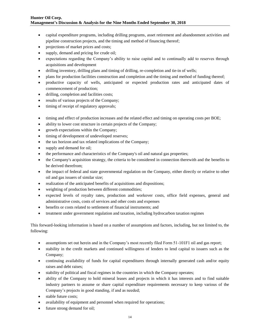- capital expenditure programs, including drilling programs, asset retirement and abandonment activities and pipeline construction projects, and the timing and method of financing thereof;
- projections of market prices and costs;
- supply, demand and pricing for crude oil;
- expectations regarding the Company's ability to raise capital and to continually add to reserves through acquisitions and development
- drilling inventory, drilling plans and timing of drilling, re-completion and tie-in of wells;
- plans for production facilities construction and completion and the timing and method of funding thereof;
- productive capacity of wells, anticipated or expected production rates and anticipated dates of commencement of production;
- drilling, completion and facilities costs;
- results of various projects of the Company;
- timing of receipt of regulatory approvals;
- timing and effect of production increases and the related effect and timing on operating costs per BOE;
- ability to lower cost structure in certain projects of the Company;
- growth expectations within the Company;
- $\bullet$  timing of development of undeveloped reserves;
- the tax horizon and tax related implications of the Company;
- supply and demand for oil;
- the performance and characteristics of the Company's oil and natural gas properties;
- the Company's acquisition strategy, the criteria to be considered in connection therewith and the benefits to be derived therefrom;
- the impact of federal and state governmental regulation on the Company, either directly or relative to other oil and gas issuers of similar size;
- realization of the anticipated benefits of acquisitions and dispositions;
- weighting of production between different commodities;
- expected levels of royalty rates, production and workover costs, office field expenses, general and administrative costs, costs of services and other costs and expenses
- benefits or costs related to settlement of financial instruments; and
- treatment under government regulation and taxation, including hydrocarbon taxation regimes

This forward-looking information is based on a number of assumptions and factors, including, but not limited to, the following:

- assumptions set out herein and in the Company's most recently filed Form 51-101F1 oil and gas report;
- stability in the credit markets and continued willingness of lenders to lend capital to issuers such as the Company;
- continuing availability of funds for capital expenditures through internally generated cash and/or equity raises and debt raises;
- stability of political and fiscal regimes in the countries in which the Company operates;
- ability of the Company to hold mineral leases and projects in which it has interests and to find suitable industry partners to assume or share capital expenditure requirements necessary to keep various of the Company's projects in good standing, if and as needed;
- stable future costs;
- availability of equipment and personnel when required for operations;
- future strong demand for oil;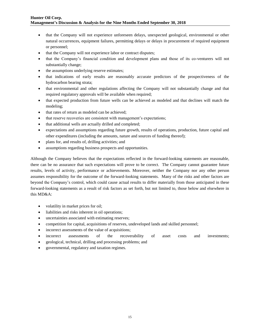- that the Company will not experience unforeseen delays, unexpected geological, environmental or other natural occurrences, equipment failures, permitting delays or delays in procurement of required equipment or personnel;
- that the Company will not experience labor or contract disputes;
- that the Company's financial condition and development plans and those of its co-venturers will not substantially change;
- the assumptions underlying reserve estimates;
- that indications of early results are reasonably accurate predictors of the prospectiveness of the hydrocarbon bearing strata;
- that environmental and other regulations affecting the Company will not substantially change and that required regulatory approvals will be available when required;
- that expected production from future wells can be achieved as modeled and that declines will match the modeling;
- that rates of return as modeled can be achieved;
- that reserve recoveries are consistent with management's expectations;
- that additional wells are actually drilled and completed;
- expectations and assumptions regarding future growth, results of operations, production, future capital and other expenditures (including the amounts, nature and sources of funding thereof);
- plans for, and results of, drilling activities; and
- assumptions regarding business prospects and opportunities.

Although the Company believes that the expectations reflected in the forward-looking statements are reasonable, there can be no assurance that such expectations will prove to be correct. The Company cannot guarantee future results, levels of activity, performance or achievements. Moreover, neither the Company nor any other person assumes responsibility for the outcome of the forward-looking statements. Many of the risks and other factors are beyond the Company's control, which could cause actual results to differ materially from those anticipated in these forward-looking statements as a result of risk factors as set forth, but not limited to, those below and elsewhere in this MD&A:

- volatility in market prices for oil;
- liabilities and risks inherent in oil operations;
- uncertainties associated with estimating reserves;
- competition for capital, acquisitions of reserves, undeveloped lands and skilled personnel;
- incorrect assessments of the value of acquisitions;
- incorrect assessments of the recoverability of asset costs and investments;
- geological, technical, drilling and processing problems; and
- governmental, regulatory and taxation regimes.